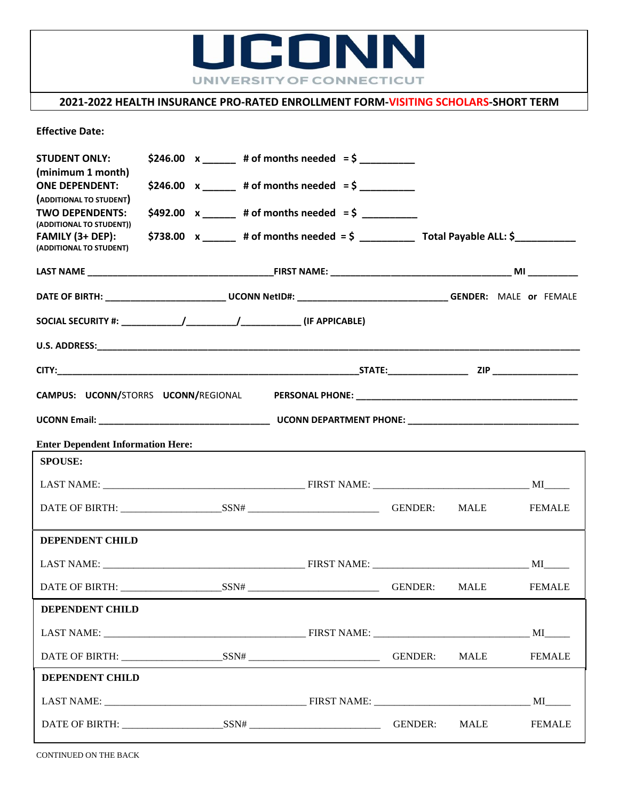

## **2021-2022 HEALTH INSURANCE PRO-RATED ENROLLMENT FORM-VISITING SCHOLARS-SHORT TERM**

**Effective Date:** 

| <b>STUDENT ONLY:</b><br>(minimum 1 month)                                                                                                                                                                                                                                        |  | $$246.00 \times +0$ f months needed = \$              |  |             |                                                                                                                                                                                                                                |  |  |
|----------------------------------------------------------------------------------------------------------------------------------------------------------------------------------------------------------------------------------------------------------------------------------|--|-------------------------------------------------------|--|-------------|--------------------------------------------------------------------------------------------------------------------------------------------------------------------------------------------------------------------------------|--|--|
| <b>ONE DEPENDENT:</b><br>(ADDITIONAL TO STUDENT)                                                                                                                                                                                                                                 |  | \$246.00 $x$ ______ # of months needed = \$ ________  |  |             |                                                                                                                                                                                                                                |  |  |
| <b>TWO DEPENDENTS:</b><br>(ADDITIONAL TO STUDENT))                                                                                                                                                                                                                               |  | \$492.00 $x$ ______ # of months needed = \$ _________ |  |             |                                                                                                                                                                                                                                |  |  |
| FAMILY (3+ DEP):<br>(ADDITIONAL TO STUDENT)                                                                                                                                                                                                                                      |  |                                                       |  |             |                                                                                                                                                                                                                                |  |  |
|                                                                                                                                                                                                                                                                                  |  |                                                       |  |             |                                                                                                                                                                                                                                |  |  |
|                                                                                                                                                                                                                                                                                  |  |                                                       |  |             |                                                                                                                                                                                                                                |  |  |
|                                                                                                                                                                                                                                                                                  |  |                                                       |  |             |                                                                                                                                                                                                                                |  |  |
|                                                                                                                                                                                                                                                                                  |  |                                                       |  |             |                                                                                                                                                                                                                                |  |  |
|                                                                                                                                                                                                                                                                                  |  |                                                       |  |             |                                                                                                                                                                                                                                |  |  |
|                                                                                                                                                                                                                                                                                  |  |                                                       |  |             |                                                                                                                                                                                                                                |  |  |
|                                                                                                                                                                                                                                                                                  |  |                                                       |  |             |                                                                                                                                                                                                                                |  |  |
| <b>Enter Dependent Information Here:</b><br><u>and the contract of the contract of the contract of the contract of the contract of the contract of the contract of the contract of the contract of the contract of the contract of the contract of the contract of the contr</u> |  |                                                       |  |             |                                                                                                                                                                                                                                |  |  |
| <b>SPOUSE:</b>                                                                                                                                                                                                                                                                   |  |                                                       |  |             |                                                                                                                                                                                                                                |  |  |
|                                                                                                                                                                                                                                                                                  |  |                                                       |  |             |                                                                                                                                                                                                                                |  |  |
|                                                                                                                                                                                                                                                                                  |  |                                                       |  |             | <b>FEMALE</b>                                                                                                                                                                                                                  |  |  |
| <b>DEPENDENT CHILD</b>                                                                                                                                                                                                                                                           |  |                                                       |  |             |                                                                                                                                                                                                                                |  |  |
|                                                                                                                                                                                                                                                                                  |  |                                                       |  |             |                                                                                                                                                                                                                                |  |  |
|                                                                                                                                                                                                                                                                                  |  |                                                       |  | MALE        | <b>FEMALE</b>                                                                                                                                                                                                                  |  |  |
| <b>DEPENDENT CHILD</b>                                                                                                                                                                                                                                                           |  |                                                       |  |             |                                                                                                                                                                                                                                |  |  |
|                                                                                                                                                                                                                                                                                  |  |                                                       |  |             | MI                                                                                                                                                                                                                             |  |  |
|                                                                                                                                                                                                                                                                                  |  |                                                       |  | <b>MALE</b> | <b>FEMALE</b>                                                                                                                                                                                                                  |  |  |
| DEPENDENT CHILD                                                                                                                                                                                                                                                                  |  |                                                       |  |             |                                                                                                                                                                                                                                |  |  |
|                                                                                                                                                                                                                                                                                  |  |                                                       |  |             | MI and the state of the state of the state of the state of the state of the state of the state of the state of the state of the state of the state of the state of the state of the state of the state of the state of the sta |  |  |
|                                                                                                                                                                                                                                                                                  |  |                                                       |  | MALE        | <b>FEMALE</b>                                                                                                                                                                                                                  |  |  |